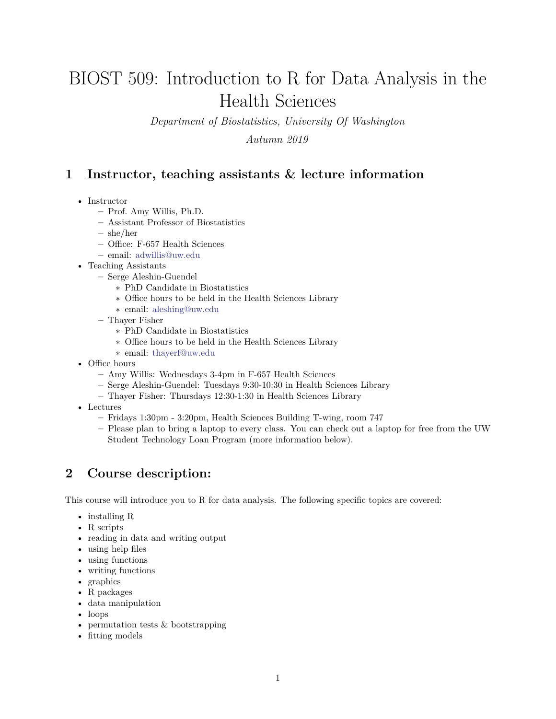# BIOST 509: Introduction to R for Data Analysis in the Health Sciences

*Department of Biostatistics, University Of Washington*

*Autumn 2019*

### **1 Instructor, teaching assistants & lecture information**

- Instructor
	- **–** Prof. Amy Willis, Ph.D.
	- **–** Assistant Professor of Biostatistics
	- **–** she/her
	- **–** Office: F-657 Health Sciences
	- **–** email: <adwillis@uw.edu>
- Teaching Assistants
	- **–** Serge Aleshin-Guendel
		- ∗ PhD Candidate in Biostatistics
		- ∗ Office hours to be held in the Health Sciences Library
		- ∗ email: <aleshing@uw.edu>
	- **–** Thayer Fisher
		- ∗ PhD Candidate in Biostatistics
		- ∗ Office hours to be held in the Health Sciences Library
		- ∗ email: <thayerf@uw.edu>
- Office hours
	- **–** Amy Willis: Wednesdays 3-4pm in F-657 Health Sciences
	- **–** Serge Aleshin-Guendel: Tuesdays 9:30-10:30 in Health Sciences Library
	- **–** Thayer Fisher: Thursdays 12:30-1:30 in Health Sciences Library
- Lectures
	- **–** Fridays 1:30pm 3:20pm, Health Sciences Building T-wing, room 747
	- **–** Please plan to bring a laptop to every class. You can check out a laptop for free from the UW Student Technology Loan Program (more information below).

# **2 Course description:**

This course will introduce you to R for data analysis. The following specific topics are covered:

- installing R
- R scripts
- reading in data and writing output
- using help files
- using functions
- writing functions
- graphics
- R packages
- data manipulation
- loops
- permutation tests & bootstrapping
- fitting models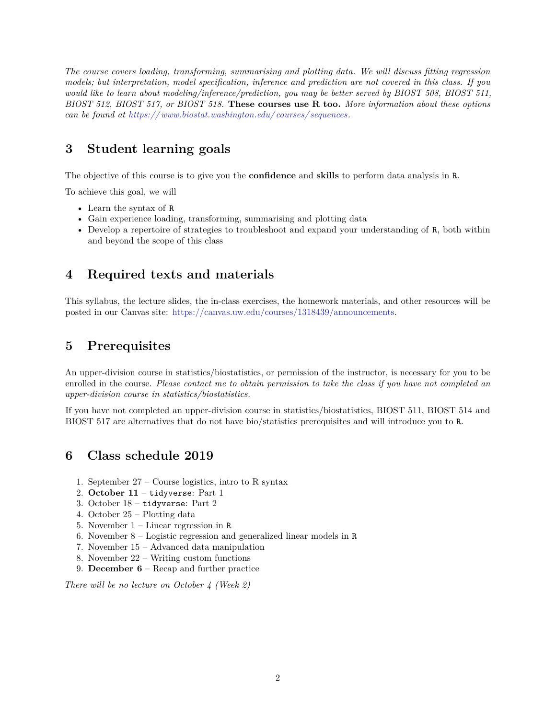*The course covers loading, transforming, summarising and plotting data. We will discuss fitting regression models; but interpretation, model specification, inference and prediction are not covered in this class. If you would like to learn about modeling/inference/prediction, you may be better served by BIOST 508, BIOST 511, BIOST 512, BIOST 517, or BIOST 518.* **These courses use R too.** *More information about these options can be found at [https:// www.biostat.washington.edu/ courses/ sequences.](https://www.biostat.washington.edu/courses/sequences)*

# **3 Student learning goals**

The objective of this course is to give you the **confidence** and **skills** to perform data analysis in R.

To achieve this goal, we will

- Learn the syntax of R
- Gain experience loading, transforming, summarising and plotting data
- Develop a repertoire of strategies to troubleshoot and expand your understanding of R, both within and beyond the scope of this class

# **4 Required texts and materials**

This syllabus, the lecture slides, the in-class exercises, the homework materials, and other resources will be posted in our Canvas site: [https://canvas.uw.edu/courses/1318439/announcements.](https://canvas.uw.edu/courses/1318439/announcements)

# **5 Prerequisites**

An upper-division course in statistics/biostatistics, or permission of the instructor, is necessary for you to be enrolled in the course. *Please contact me to obtain permission to take the class if you have not completed an upper-division course in statistics/biostatistics.*

If you have not completed an upper-division course in statistics/biostatistics, BIOST 511, BIOST 514 and BIOST 517 are alternatives that do not have bio/statistics prerequisites and will introduce you to R.

# **6 Class schedule 2019**

- 1. September 27 Course logistics, intro to R syntax
- 2. **October 11** tidyverse: Part 1
- 3. October 18 tidyverse: Part 2
- 4. October 25 Plotting data
- 5. November 1 Linear regression in R
- 6. November 8 Logistic regression and generalized linear models in R
- 7. November 15 Advanced data manipulation
- 8. November 22 Writing custom functions
- 9. **December 6** Recap and further practice

*There will be no lecture on October 4 (Week 2)*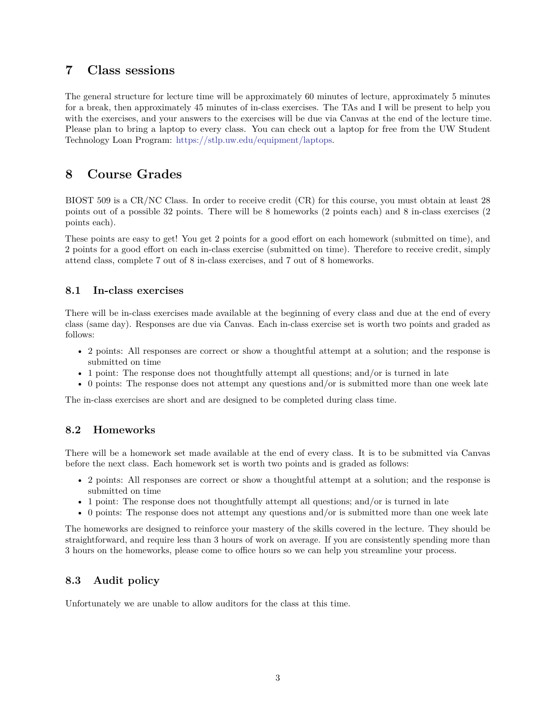### **7 Class sessions**

The general structure for lecture time will be approximately 60 minutes of lecture, approximately 5 minutes for a break, then approximately 45 minutes of in-class exercises. The TAs and I will be present to help you with the exercises, and your answers to the exercises will be due via Canvas at the end of the lecture time. Please plan to bring a laptop to every class. You can check out a laptop for free from the UW Student Technology Loan Program: [https://stlp.uw.edu/equipment/laptops.](https://stlp.uw.edu/equipment/laptops)

# **8 Course Grades**

BIOST 509 is a CR/NC Class. In order to receive credit (CR) for this course, you must obtain at least 28 points out of a possible 32 points. There will be 8 homeworks (2 points each) and 8 in-class exercises (2 points each).

These points are easy to get! You get 2 points for a good effort on each homework (submitted on time), and 2 points for a good effort on each in-class exercise (submitted on time). Therefore to receive credit, simply attend class, complete 7 out of 8 in-class exercises, and 7 out of 8 homeworks.

#### **8.1 In-class exercises**

There will be in-class exercises made available at the beginning of every class and due at the end of every class (same day). Responses are due via Canvas. Each in-class exercise set is worth two points and graded as follows:

- 2 points: All responses are correct or show a thoughtful attempt at a solution; and the response is submitted on time
- 1 point: The response does not thoughtfully attempt all questions; and/or is turned in late
- 0 points: The response does not attempt any questions and/or is submitted more than one week late

The in-class exercises are short and are designed to be completed during class time.

#### **8.2 Homeworks**

There will be a homework set made available at the end of every class. It is to be submitted via Canvas before the next class. Each homework set is worth two points and is graded as follows:

- 2 points: All responses are correct or show a thoughtful attempt at a solution; and the response is submitted on time
- 1 point: The response does not thoughtfully attempt all questions; and/or is turned in late
- 0 points: The response does not attempt any questions and/or is submitted more than one week late

The homeworks are designed to reinforce your mastery of the skills covered in the lecture. They should be straightforward, and require less than 3 hours of work on average. If you are consistently spending more than 3 hours on the homeworks, please come to office hours so we can help you streamline your process.

#### **8.3 Audit policy**

Unfortunately we are unable to allow auditors for the class at this time.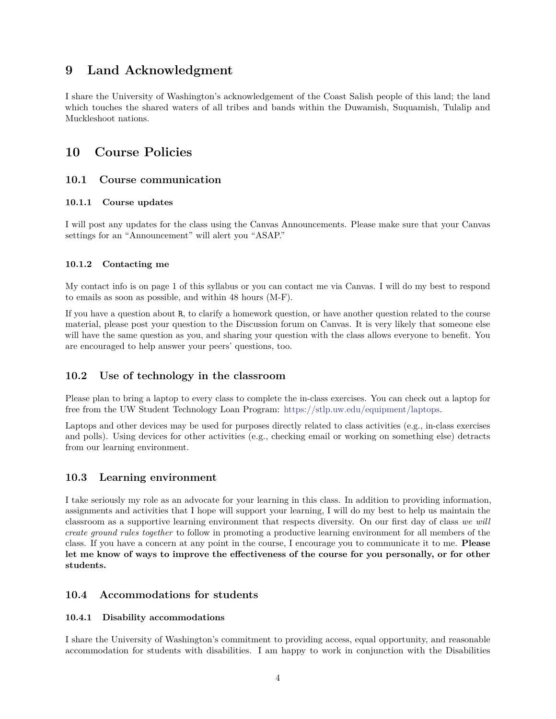### **9 Land Acknowledgment**

I share the University of Washington's acknowledgement of the Coast Salish people of this land; the land which touches the shared waters of all tribes and bands within the Duwamish, Suquamish, Tulalip and Muckleshoot nations.

### **10 Course Policies**

#### **10.1 Course communication**

#### **10.1.1 Course updates**

I will post any updates for the class using the Canvas Announcements. Please make sure that your Canvas settings for an "Announcement" will alert you "ASAP."

#### **10.1.2 Contacting me**

My contact info is on page 1 of this syllabus or you can contact me via Canvas. I will do my best to respond to emails as soon as possible, and within 48 hours (M-F).

If you have a question about R, to clarify a homework question, or have another question related to the course material, please post your question to the Discussion forum on Canvas. It is very likely that someone else will have the same question as you, and sharing your question with the class allows everyone to benefit. You are encouraged to help answer your peers' questions, too.

#### **10.2 Use of technology in the classroom**

Please plan to bring a laptop to every class to complete the in-class exercises. You can check out a laptop for free from the UW Student Technology Loan Program: [https://stlp.uw.edu/equipment/laptops.](https://stlp.uw.edu/equipment/laptops)

Laptops and other devices may be used for purposes directly related to class activities (e.g., in-class exercises and polls). Using devices for other activities (e.g., checking email or working on something else) detracts from our learning environment.

#### **10.3 Learning environment**

I take seriously my role as an advocate for your learning in this class. In addition to providing information, assignments and activities that I hope will support your learning, I will do my best to help us maintain the classroom as a supportive learning environment that respects diversity. On our first day of class *we will create ground rules together* to follow in promoting a productive learning environment for all members of the class. If you have a concern at any point in the course, I encourage you to communicate it to me. **Please let me know of ways to improve the effectiveness of the course for you personally, or for other students.**

#### **10.4 Accommodations for students**

#### **10.4.1 Disability accommodations**

I share the University of Washington's commitment to providing access, equal opportunity, and reasonable accommodation for students with disabilities. I am happy to work in conjunction with the Disabilities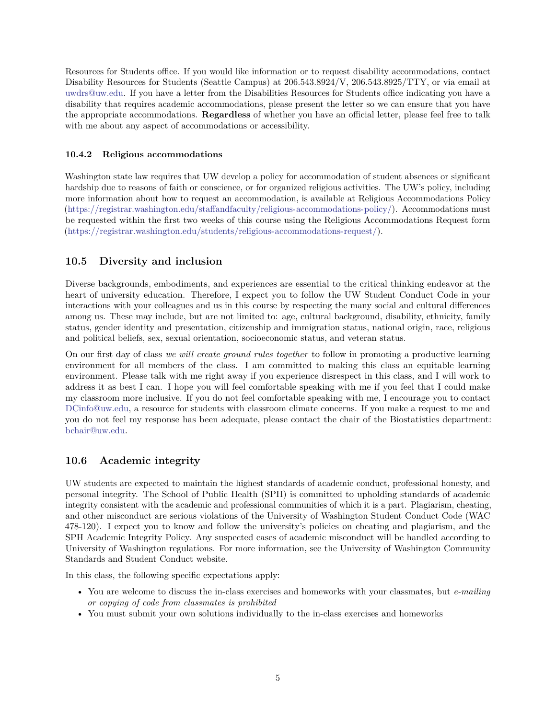Resources for Students office. If you would like information or to request disability accommodations, contact Disability Resources for Students (Seattle Campus) at 206.543.8924/V, 206.543.8925/TTY, or via email at [uwdrs@uw.edu.](uwdrs@uw.edu) If you have a letter from the Disabilities Resources for Students office indicating you have a disability that requires academic accommodations, please present the letter so we can ensure that you have the appropriate accommodations. **Regardless** of whether you have an official letter, please feel free to talk with me about any aspect of accommodations or accessibility.

#### **10.4.2 Religious accommodations**

Washington state law requires that UW develop a policy for accommodation of student absences or significant hardship due to reasons of faith or conscience, or for organized religious activities. The UW's policy, including more information about how to request an accommodation, is available at Religious Accommodations Policy [\(https://registrar.washington.edu/staffandfaculty/religious-accommodations-policy/\)](https://registrar.washington.edu/staffandfaculty/religious-accommodations-policy/). Accommodations must be requested within the first two weeks of this course using the Religious Accommodations Request form [\(https://registrar.washington.edu/students/religious-accommodations-request/\)](https://registrar.washington.edu/students/religious-accommodations-request/).

#### **10.5 Diversity and inclusion**

Diverse backgrounds, embodiments, and experiences are essential to the critical thinking endeavor at the heart of university education. Therefore, I expect you to follow the UW Student Conduct Code in your interactions with your colleagues and us in this course by respecting the many social and cultural differences among us. These may include, but are not limited to: age, cultural background, disability, ethnicity, family status, gender identity and presentation, citizenship and immigration status, national origin, race, religious and political beliefs, sex, sexual orientation, socioeconomic status, and veteran status.

On our first day of class *we will create ground rules together* to follow in promoting a productive learning environment for all members of the class. I am committed to making this class an equitable learning environment. Please talk with me right away if you experience disrespect in this class, and I will work to address it as best I can. I hope you will feel comfortable speaking with me if you feel that I could make my classroom more inclusive. If you do not feel comfortable speaking with me, I encourage you to contact [DCinfo@uw.edu,](DCinfo@uw.edu) a resource for students with classroom climate concerns. If you make a request to me and you do not feel my response has been adequate, please contact the chair of the Biostatistics department: [bchair@uw.edu.](bchair@uw.edu)

#### **10.6 Academic integrity**

UW students are expected to maintain the highest standards of academic conduct, professional honesty, and personal integrity. The School of Public Health (SPH) is committed to upholding standards of academic integrity consistent with the academic and professional communities of which it is a part. Plagiarism, cheating, and other misconduct are serious violations of the University of Washington Student Conduct Code (WAC 478-120). I expect you to know and follow the university's policies on cheating and plagiarism, and the SPH Academic Integrity Policy. Any suspected cases of academic misconduct will be handled according to University of Washington regulations. For more information, see the University of Washington Community Standards and Student Conduct website.

In this class, the following specific expectations apply:

- You are welcome to discuss the in-class exercises and homeworks with your classmates, but *e-mailing or copying of code from classmates is prohibited*
- You must submit your own solutions individually to the in-class exercises and homeworks